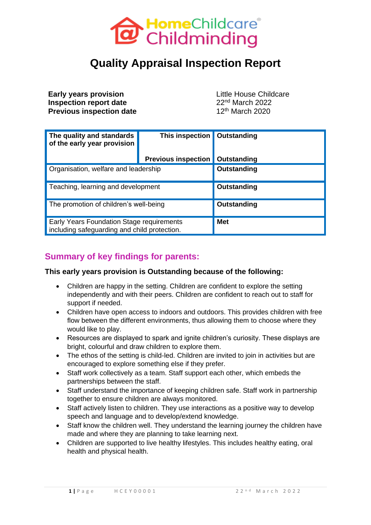

# **Quality Appraisal Inspection Report**

**Early years provision Early years provision Little House Childcare Inspection report date** 22<sup>nd</sup> March 2022 **Previous inspection date** 12<sup>th</sup> March 2020

| The quality and standards<br>of the early year provision                                  | <b>This inspection</b>                   | Outstanding |
|-------------------------------------------------------------------------------------------|------------------------------------------|-------------|
|                                                                                           | <b>Previous inspection   Outstanding</b> |             |
| Organisation, welfare and leadership                                                      |                                          | Outstanding |
| Teaching, learning and development                                                        |                                          | Outstanding |
| The promotion of children's well-being                                                    |                                          | Outstanding |
| Early Years Foundation Stage requirements<br>including safeguarding and child protection. |                                          | <b>Met</b>  |

### **Summary of key findings for parents:**

#### **This early years provision is Outstanding because of the following:**

- Children are happy in the setting. Children are confident to explore the setting independently and with their peers. Children are confident to reach out to staff for support if needed.
- Children have open access to indoors and outdoors. This provides children with free flow between the different environments, thus allowing them to choose where they would like to play.
- Resources are displayed to spark and ignite children's curiosity. These displays are bright, colourful and draw children to explore them.
- The ethos of the setting is child-led. Children are invited to join in activities but are encouraged to explore something else if they prefer.
- Staff work collectively as a team. Staff support each other, which embeds the partnerships between the staff.
- Staff understand the importance of keeping children safe. Staff work in partnership together to ensure children are always monitored.
- Staff actively listen to children. They use interactions as a positive way to develop speech and language and to develop/extend knowledge.
- Staff know the children well. They understand the learning journey the children have made and where they are planning to take learning next.
- Children are supported to live healthy lifestyles. This includes healthy eating, oral health and physical health.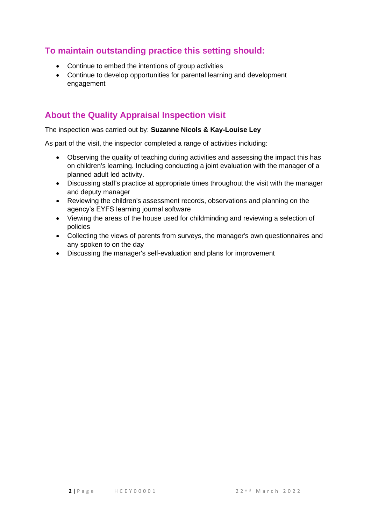# **To maintain outstanding practice this setting should:**

- Continue to embed the intentions of group activities
- Continue to develop opportunities for parental learning and development engagement

# **About the Quality Appraisal Inspection visit**

#### The inspection was carried out by: **Suzanne Nicols & Kay-Louise Ley**

As part of the visit, the inspector completed a range of activities including:

- Observing the quality of teaching during activities and assessing the impact this has on children's learning. Including conducting a joint evaluation with the manager of a planned adult led activity.
- Discussing staff's practice at appropriate times throughout the visit with the manager and deputy manager
- Reviewing the children's assessment records, observations and planning on the agency's EYFS learning journal software
- Viewing the areas of the house used for childminding and reviewing a selection of policies
- Collecting the views of parents from surveys, the manager's own questionnaires and any spoken to on the day
- Discussing the manager's self-evaluation and plans for improvement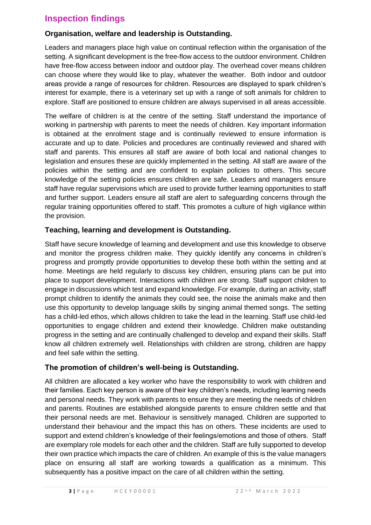### **Inspection findings**

#### **Organisation, welfare and leadership is Outstanding.**

Leaders and managers place high value on continual reflection within the organisation of the setting. A significant development is the free-flow access to the outdoor environment. Children have free-flow access between indoor and outdoor play. The overhead cover means children can choose where they would like to play, whatever the weather. Both indoor and outdoor areas provide a range of resources for children. Resources are displayed to spark children's interest for example, there is a veterinary set up with a range of soft animals for children to explore. Staff are positioned to ensure children are always supervised in all areas accessible.

The welfare of children is at the centre of the setting. Staff understand the importance of working in partnership with parents to meet the needs of children. Key important information is obtained at the enrolment stage and is continually reviewed to ensure information is accurate and up to date. Policies and procedures are continually reviewed and shared with staff and parents. This ensures all staff are aware of both local and national changes to legislation and ensures these are quickly implemented in the setting. All staff are aware of the policies within the setting and are confident to explain policies to others. This secure knowledge of the setting policies ensures children are safe. Leaders and managers ensure staff have regular supervisions which are used to provide further learning opportunities to staff and further support. Leaders ensure all staff are alert to safeguarding concerns through the regular training opportunities offered to staff. This promotes a culture of high vigilance within the provision.

#### **Teaching, learning and development is Outstanding.**

Staff have secure knowledge of learning and development and use this knowledge to observe and monitor the progress children make. They quickly identify any concerns in children's progress and promptly provide opportunities to develop these both within the setting and at home. Meetings are held regularly to discuss key children, ensuring plans can be put into place to support development. Interactions with children are strong. Staff support children to engage in discussions which test and expand knowledge. For example, during an activity, staff prompt children to identify the animals they could see, the noise the animals make and then use this opportunity to develop language skills by singing animal themed songs. The setting has a child-led ethos, which allows children to take the lead in the learning. Staff use child-led opportunities to engage children and extend their knowledge. Children make outstanding progress in the setting and are continually challenged to develop and expand their skills. Staff know all children extremely well. Relationships with children are strong, children are happy and feel safe within the setting.

#### **The promotion of children's well-being is Outstanding.**

All children are allocated a key worker who have the responsibility to work with children and their families. Each key person is aware of their key children's needs, including learning needs and personal needs. They work with parents to ensure they are meeting the needs of children and parents. Routines are established alongside parents to ensure children settle and that their personal needs are met. Behaviour is sensitively managed. Children are supported to understand their behaviour and the impact this has on others. These incidents are used to support and extend children's knowledge of their feelings/emotions and those of others. Staff are exemplary role models for each other and the children. Staff are fully supported to develop their own practice which impacts the care of children. An example of this is the value managers place on ensuring all staff are working towards a qualification as a minimum. This subsequently has a positive impact on the care of all children within the setting.